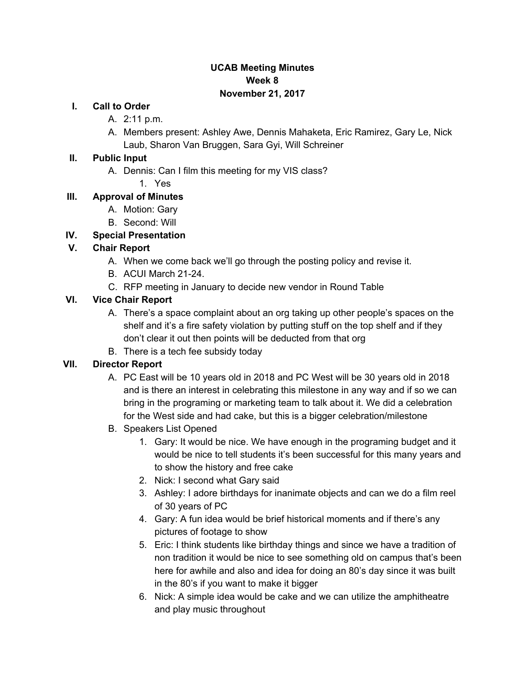### **UCAB Meeting Minutes Week 8 November 21, 2017**

#### **I. Call to Order**

- A. 2:11 p.m.
- A. Members present: Ashley Awe, Dennis Mahaketa, Eric Ramirez, Gary Le, Nick Laub, Sharon Van Bruggen, Sara Gyi, Will Schreiner

#### **II. Public Input**

- A. Dennis: Can I film this meeting for my VIS class?
	- 1. Yes

### **III. Approval of Minutes**

- A. Motion: Gary
- B. Second: Will

### **IV. Special Presentation**

### **V. Chair Report**

- A. When we come back we'll go through the posting policy and revise it.
- B. ACUI March 21-24.
- C. RFP meeting in January to decide new vendor in Round Table

### **VI. Vice Chair Report**

- A. There's a space complaint about an org taking up other people's spaces on the shelf and it's a fire safety violation by putting stuff on the top shelf and if they don't clear it out then points will be deducted from that org
- B. There is a tech fee subsidy today

## **VII. Director Report**

- A. PC East will be 10 years old in 2018 and PC West will be 30 years old in 2018 and is there an interest in celebrating this milestone in any way and if so we can bring in the programing or marketing team to talk about it. We did a celebration for the West side and had cake, but this is a bigger celebration/milestone
- B. Speakers List Opened
	- 1. Gary: It would be nice. We have enough in the programing budget and it would be nice to tell students it's been successful for this many years and to show the history and free cake
	- 2. Nick: I second what Gary said
	- 3. Ashley: I adore birthdays for inanimate objects and can we do a film reel of 30 years of PC
	- 4. Gary: A fun idea would be brief historical moments and if there's any pictures of footage to show
	- 5. Eric: I think students like birthday things and since we have a tradition of non tradition it would be nice to see something old on campus that's been here for awhile and also and idea for doing an 80's day since it was built in the 80's if you want to make it bigger
	- 6. Nick: A simple idea would be cake and we can utilize the amphitheatre and play music throughout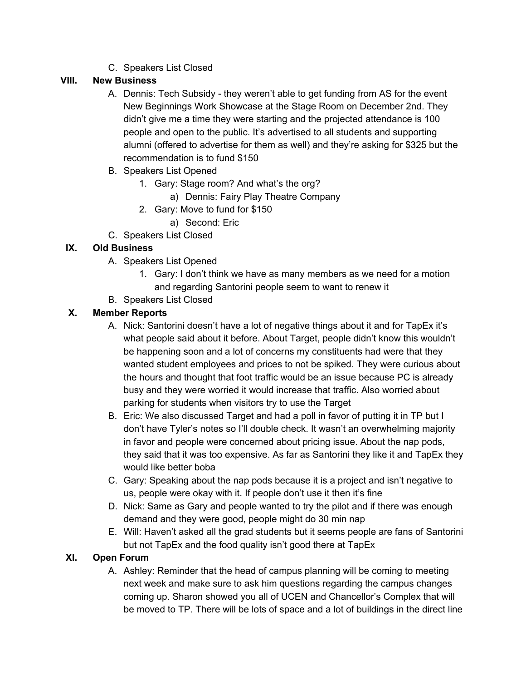C. Speakers List Closed

## **VIII. New Business**

- A. Dennis: Tech Subsidy they weren't able to get funding from AS for the event New Beginnings Work Showcase at the Stage Room on December 2nd. They didn't give me a time they were starting and the projected attendance is 100 people and open to the public. It's advertised to all students and supporting alumni (offered to advertise for them as well) and they're asking for \$325 but the recommendation is to fund \$150
- B. Speakers List Opened
	- 1. Gary: Stage room? And what's the org?
		- a) Dennis: Fairy Play Theatre Company
	- 2. Gary: Move to fund for \$150
		- a) Second: Eric
- C. Speakers List Closed

# **IX. Old Business**

- A. Speakers List Opened
	- 1. Gary: I don't think we have as many members as we need for a motion and regarding Santorini people seem to want to renew it
- B. Speakers List Closed

# **X. Member Reports**

- A. Nick: Santorini doesn't have a lot of negative things about it and for TapEx it's what people said about it before. About Target, people didn't know this wouldn't be happening soon and a lot of concerns my constituents had were that they wanted student employees and prices to not be spiked. They were curious about the hours and thought that foot traffic would be an issue because PC is already busy and they were worried it would increase that traffic. Also worried about parking for students when visitors try to use the Target
- B. Eric: We also discussed Target and had a poll in favor of putting it in TP but I don't have Tyler's notes so I'll double check. It wasn't an overwhelming majority in favor and people were concerned about pricing issue. About the nap pods, they said that it was too expensive. As far as Santorini they like it and TapEx they would like better boba
- C. Gary: Speaking about the nap pods because it is a project and isn't negative to us, people were okay with it. If people don't use it then it's fine
- D. Nick: Same as Gary and people wanted to try the pilot and if there was enough demand and they were good, people might do 30 min nap
- E. Will: Haven't asked all the grad students but it seems people are fans of Santorini but not TapEx and the food quality isn't good there at TapEx

## **XI. Open Forum**

A. Ashley: Reminder that the head of campus planning will be coming to meeting next week and make sure to ask him questions regarding the campus changes coming up. Sharon showed you all of UCEN and Chancellor's Complex that will be moved to TP. There will be lots of space and a lot of buildings in the direct line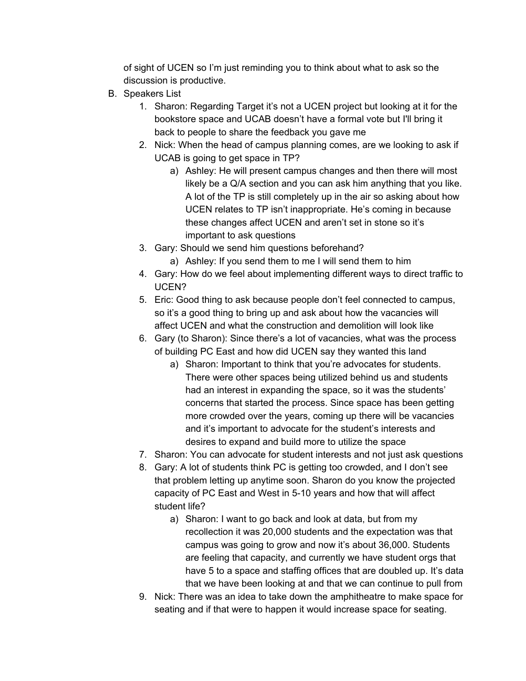of sight of UCEN so I'm just reminding you to think about what to ask so the discussion is productive.

- B. Speakers List
	- 1. Sharon: Regarding Target it's not a UCEN project but looking at it for the bookstore space and UCAB doesn't have a formal vote but I'll bring it back to people to share the feedback you gave me
	- 2. Nick: When the head of campus planning comes, are we looking to ask if UCAB is going to get space in TP?
		- a) Ashley: He will present campus changes and then there will most likely be a Q/A section and you can ask him anything that you like. A lot of the TP is still completely up in the air so asking about how UCEN relates to TP isn't inappropriate. He's coming in because these changes affect UCEN and aren't set in stone so it's important to ask questions
	- 3. Gary: Should we send him questions beforehand?
		- a) Ashley: If you send them to me I will send them to him
	- 4. Gary: How do we feel about implementing different ways to direct traffic to UCEN?
	- 5. Eric: Good thing to ask because people don't feel connected to campus, so it's a good thing to bring up and ask about how the vacancies will affect UCEN and what the construction and demolition will look like
	- 6. Gary (to Sharon): Since there's a lot of vacancies, what was the process of building PC East and how did UCEN say they wanted this land
		- a) Sharon: Important to think that you're advocates for students. There were other spaces being utilized behind us and students had an interest in expanding the space, so it was the students' concerns that started the process. Since space has been getting more crowded over the years, coming up there will be vacancies and it's important to advocate for the student's interests and desires to expand and build more to utilize the space
	- 7. Sharon: You can advocate for student interests and not just ask questions
	- 8. Gary: A lot of students think PC is getting too crowded, and I don't see that problem letting up anytime soon. Sharon do you know the projected capacity of PC East and West in 5-10 years and how that will affect student life?
		- a) Sharon: I want to go back and look at data, but from my recollection it was 20,000 students and the expectation was that campus was going to grow and now it's about 36,000. Students are feeling that capacity, and currently we have student orgs that have 5 to a space and staffing offices that are doubled up. It's data that we have been looking at and that we can continue to pull from
	- 9. Nick: There was an idea to take down the amphitheatre to make space for seating and if that were to happen it would increase space for seating.